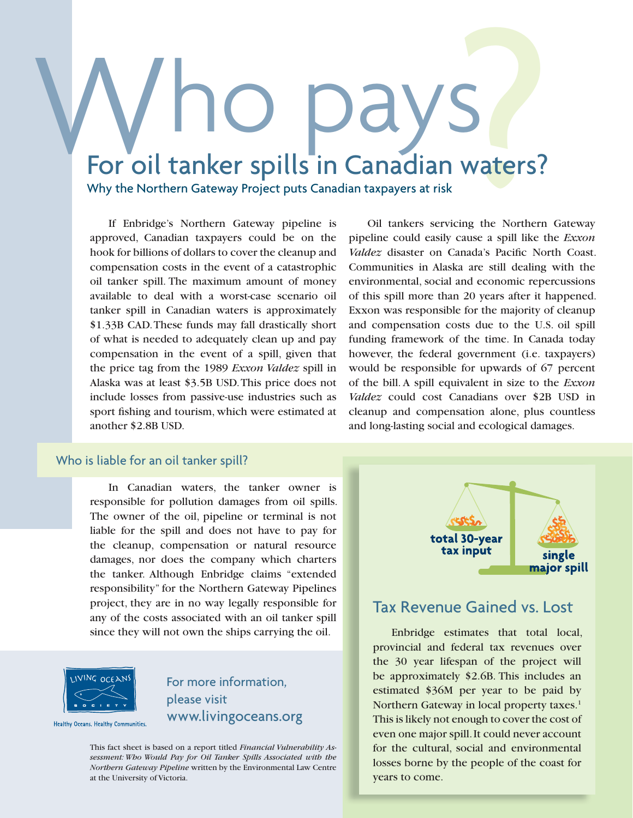# Waters? Who pays<br>For oil tanker spills in Canadian waters?

Why the Northern Gateway Project puts Canadian taxpayers at risk

If Enbridge's Northern Gateway pipeline is approved, Canadian taxpayers could be on the hook for billions of dollars to cover the cleanup and compensation costs in the event of a catastrophic oil tanker spill. The maximum amount of money available to deal with a worst-case scenario oil tanker spill in Canadian waters is approximately \$1.33B CAD. These funds may fall drastically short of what is needed to adequately clean up and pay compensation in the event of a spill, given that the price tag from the 1989 *Exxon Valdez* spill in Alaska was at least \$3.5B USD. This price does not include losses from passive-use industries such as sport fishing and tourism, which were estimated at another \$2.8B USD.

Oil tankers servicing the Northern Gateway pipeline could easily cause a spill like the *Exxon Valdez* disaster on Canada's Pacific North Coast. Communities in Alaska are still dealing with the environmental, social and economic repercussions of this spill more than 20 years after it happened. Exxon was responsible for the majority of cleanup and compensation costs due to the U.S. oil spill funding framework of the time. In Canada today however, the federal government (i.e. taxpayers) would be responsible for upwards of 67 percent of the bill. A spill equivalent in size to the *Exxon Valdez* could cost Canadians over \$2B USD in cleanup and compensation alone, plus countless and long-lasting social and ecological damages.

#### Who is liable for an oil tanker spill?

In Canadian waters, the tanker owner is responsible for pollution damages from oil spills. The owner of the oil, pipeline or terminal is not liable for the spill and does not have to pay for the cleanup, compensation or natural resource damages, nor does the company which charters the tanker. Although Enbridge claims "extended responsibility" for the Northern Gateway Pipelines project, they are in no way legally responsible for any of the costs associated with an oil tanker spill since they will not own the ships carrying the oil.



Healthy Oceans, Healthy Communities.

For more information, please visit www.livingoceans.org

This fact sheet is based on a report titled *Financial Vulnerability Assessment: Who Would Pay for Oil Tanker Spills Associated with the Northern Gateway Pipeline* written by the Environmental Law Centre at the University of Victoria.



#### Tax Revenue Gained vs. Lost

Enbridge estimates that total local, provincial and federal tax revenues over the 30 year lifespan of the project will be approximately \$2.6B. This includes an estimated \$36M per year to be paid by Northern Gateway in local property taxes.<sup>1</sup> This is likely not enough to cover the cost of even one major spill. It could never account for the cultural, social and environmental losses borne by the people of the coast for years to come.